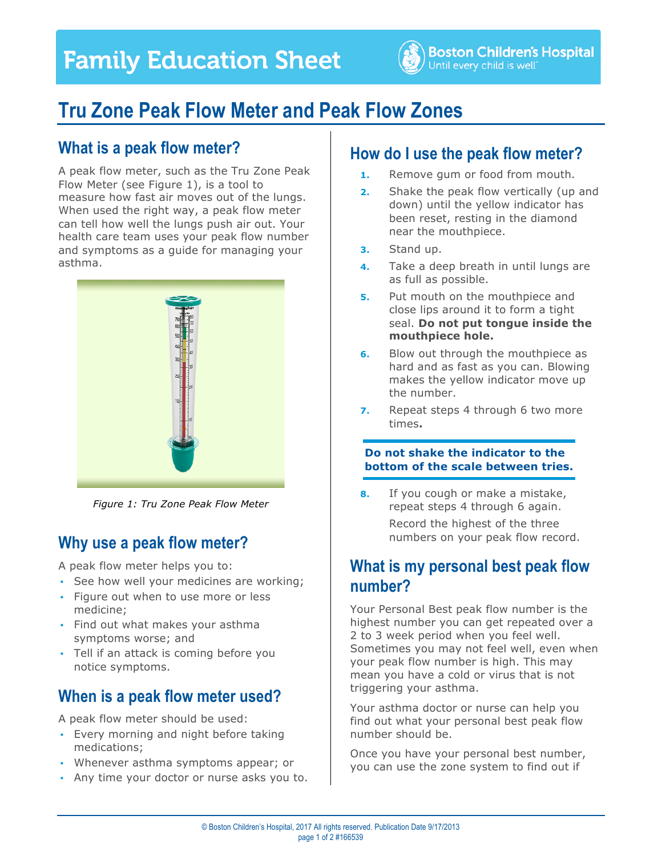# **Family Education Sheet**



# **Tru Zone Peak Flow Meter and Peak Flow Zones**

## **What is a peak flow meter?**

A peak flow meter, such as the Tru Zone Peak Flow Meter (see Figure 1), is a tool to measure how fast air moves out of the lungs. When used the right way, a peak flow meter can tell how well the lungs push air out. Your health care team uses your peak flow number and symptoms as a guide for managing your asthma.



*Figure 1: Tru Zone Peak Flow Meter*

## **Why use a peak flow meter?**

A peak flow meter helps you to:

- See how well your medicines are working;
- Figure out when to use more or less medicine;
- Find out what makes your asthma symptoms worse; and
- Tell if an attack is coming before you notice symptoms.

## **When is a peak flow meter used?**

A peak flow meter should be used:

- Every morning and night before taking medications;
- Whenever asthma symptoms appear; or
- Any time your doctor or nurse asks you to.

### **How do I use the peak flow meter?**

- **1.** Remove gum or food from mouth.
- **2.** Shake the peak flow vertically (up and down) until the yellow indicator has been reset, resting in the diamond near the mouthpiece.
- **3.** Stand up.
- **4.** Take a deep breath in until lungs are as full as possible.
- **5.** Put mouth on the mouthpiece and close lips around it to form a tight seal. **Do not put tongue inside the mouthpiece hole.**
- **6.** Blow out through the mouthpiece as hard and as fast as you can. Blowing makes the yellow indicator move up the number.
- **7.** Repeat steps 4 through 6 two more times**.**

#### **Do not shake the indicator to the bottom of the scale between tries.**

**8.** If you cough or make a mistake, repeat steps 4 through 6 again. Record the highest of the three numbers on your peak flow record.

### **What is my personal best peak flow number?**

Your Personal Best peak flow number is the highest number you can get repeated over a 2 to 3 week period when you feel well. Sometimes you may not feel well, even when your peak flow number is high. This may mean you have a cold or virus that is not triggering your asthma.

Your asthma doctor or nurse can help you find out what your personal best peak flow number should be.

Once you have your personal best number, you can use the zone system to find out if